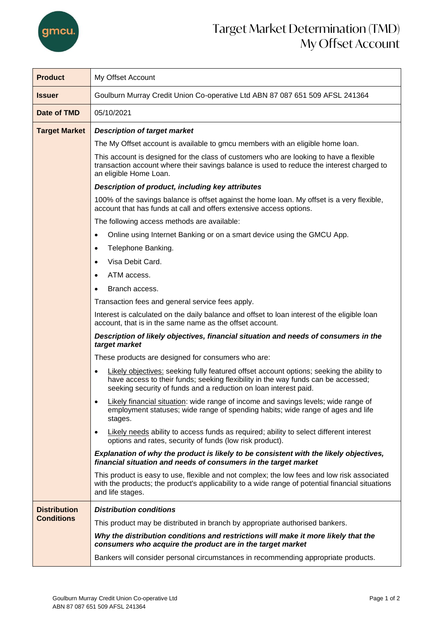

## Target Market Determination (TMD) My Offset Account

| <b>Product</b>       | My Offset Account                                                                                                                                                                                                                                 |  |  |  |
|----------------------|---------------------------------------------------------------------------------------------------------------------------------------------------------------------------------------------------------------------------------------------------|--|--|--|
| <b>Issuer</b>        | Goulburn Murray Credit Union Co-operative Ltd ABN 87 087 651 509 AFSL 241364                                                                                                                                                                      |  |  |  |
| Date of TMD          | 05/10/2021                                                                                                                                                                                                                                        |  |  |  |
| <b>Target Market</b> | <b>Description of target market</b>                                                                                                                                                                                                               |  |  |  |
|                      | The My Offset account is available to gmcu members with an eligible home loan.                                                                                                                                                                    |  |  |  |
|                      | This account is designed for the class of customers who are looking to have a flexible<br>transaction account where their savings balance is used to reduce the interest charged to<br>an eligible Home Loan.                                     |  |  |  |
|                      | Description of product, including key attributes                                                                                                                                                                                                  |  |  |  |
|                      | 100% of the savings balance is offset against the home loan. My offset is a very flexible,<br>account that has funds at call and offers extensive access options.                                                                                 |  |  |  |
|                      | The following access methods are available:                                                                                                                                                                                                       |  |  |  |
|                      | Online using Internet Banking or on a smart device using the GMCU App.                                                                                                                                                                            |  |  |  |
|                      | Telephone Banking.<br>٠                                                                                                                                                                                                                           |  |  |  |
|                      | Visa Debit Card.<br>$\bullet$                                                                                                                                                                                                                     |  |  |  |
|                      | ATM access.<br>$\bullet$                                                                                                                                                                                                                          |  |  |  |
|                      | Branch access.<br>$\bullet$                                                                                                                                                                                                                       |  |  |  |
|                      | Transaction fees and general service fees apply.                                                                                                                                                                                                  |  |  |  |
|                      | Interest is calculated on the daily balance and offset to loan interest of the eligible loan<br>account, that is in the same name as the offset account.                                                                                          |  |  |  |
|                      | Description of likely objectives, financial situation and needs of consumers in the<br>target market                                                                                                                                              |  |  |  |
|                      | These products are designed for consumers who are:                                                                                                                                                                                                |  |  |  |
|                      | Likely objectives: seeking fully featured offset account options; seeking the ability to<br>have access to their funds; seeking flexibility in the way funds can be accessed;<br>seeking security of funds and a reduction on loan interest paid. |  |  |  |
|                      | Likely financial situation: wide range of income and savings levels; wide range of<br>employment statuses; wide range of spending habits; wide range of ages and life<br>stages.                                                                  |  |  |  |
|                      | Likely needs ability to access funds as required; ability to select different interest<br>options and rates, security of funds (low risk product).                                                                                                |  |  |  |
|                      | Explanation of why the product is likely to be consistent with the likely objectives,<br>financial situation and needs of consumers in the target market                                                                                          |  |  |  |
|                      | This product is easy to use, flexible and not complex; the low fees and low risk associated<br>with the products; the product's applicability to a wide range of potential financial situations<br>and life stages.                               |  |  |  |
| <b>Distribution</b>  | <b>Distribution conditions</b>                                                                                                                                                                                                                    |  |  |  |
| <b>Conditions</b>    | This product may be distributed in branch by appropriate authorised bankers.                                                                                                                                                                      |  |  |  |
|                      | Why the distribution conditions and restrictions will make it more likely that the<br>consumers who acquire the product are in the target market                                                                                                  |  |  |  |
|                      | Bankers will consider personal circumstances in recommending appropriate products.                                                                                                                                                                |  |  |  |